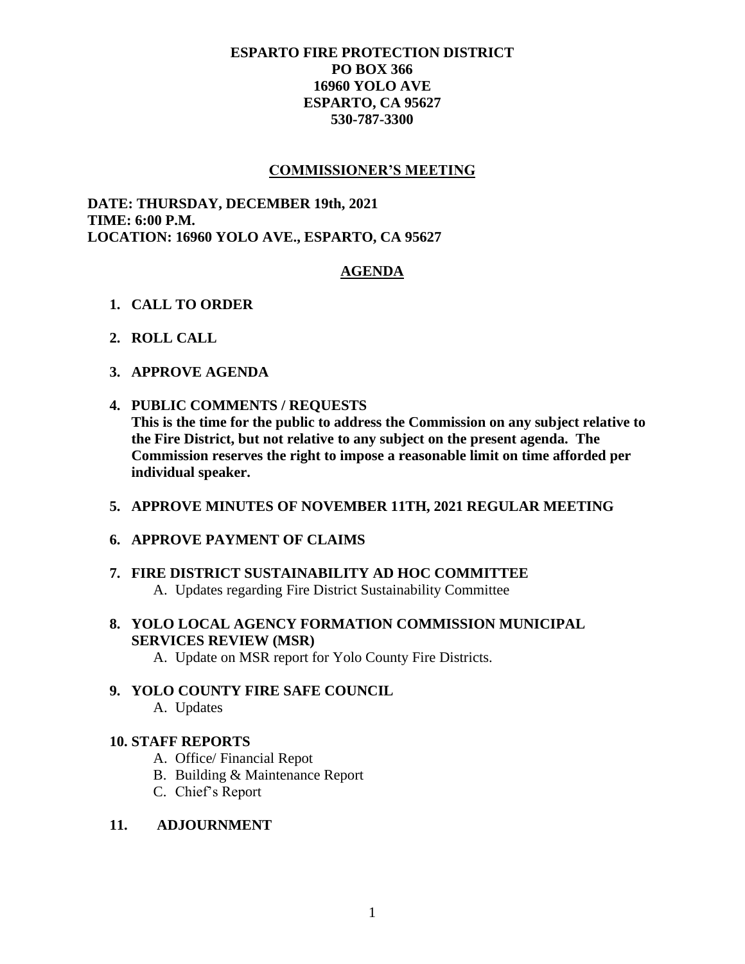# **ESPARTO FIRE PROTECTION DISTRICT PO BOX 366 16960 YOLO AVE ESPARTO, CA 95627 530-787-3300**

## **COMMISSIONER'S MEETING**

**DATE: THURSDAY, DECEMBER 19th, 2021 TIME: 6:00 P.M. LOCATION: 16960 YOLO AVE., ESPARTO, CA 95627**

# **AGENDA**

- **1. CALL TO ORDER**
- **2. ROLL CALL**
- **3. APPROVE AGENDA**
- **4. PUBLIC COMMENTS / REQUESTS**

**This is the time for the public to address the Commission on any subject relative to the Fire District, but not relative to any subject on the present agenda. The Commission reserves the right to impose a reasonable limit on time afforded per individual speaker.**

- **5. APPROVE MINUTES OF NOVEMBER 11TH, 2021 REGULAR MEETING**
- **6. APPROVE PAYMENT OF CLAIMS**
- **7. FIRE DISTRICT SUSTAINABILITY AD HOC COMMITTEE**  A. Updates regarding Fire District Sustainability Committee
- **8. YOLO LOCAL AGENCY FORMATION COMMISSION MUNICIPAL SERVICES REVIEW (MSR)**
	- A. Update on MSR report for Yolo County Fire Districts.

# **9. YOLO COUNTY FIRE SAFE COUNCIL**

A. Updates

### **10. STAFF REPORTS**

- A. Office/ Financial Repot
- B. Building & Maintenance Report
- C. Chief's Report

#### **11. ADJOURNMENT**